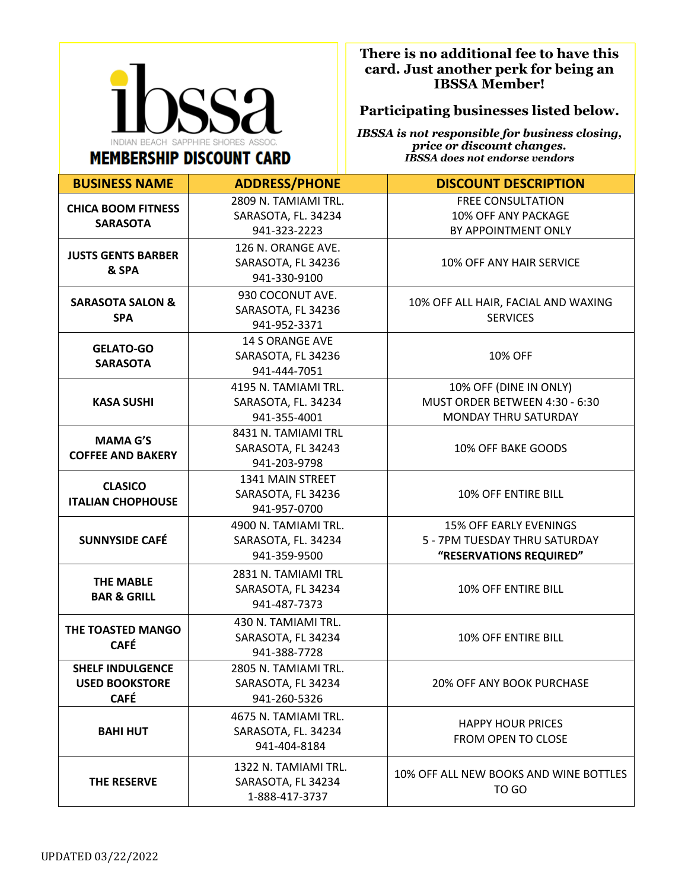

**There is no additional fee to have this card. Just another perk for being an IBSSA Member!**

## **Participating businesses listed below.**

*IBSSA is not responsible for business closing, price or discount changes. IBSSA does not endorse vendors*

| <b>BUSINESS NAME</b>                                            | <b>ADDRESS/PHONE</b>                                         | <b>DISCOUNT DESCRIPTION</b>                                                               |
|-----------------------------------------------------------------|--------------------------------------------------------------|-------------------------------------------------------------------------------------------|
| <b>CHICA BOOM FITNESS</b><br><b>SARASOTA</b>                    | 2809 N. TAMIAMI TRL.<br>SARASOTA, FL. 34234<br>941-323-2223  | <b>FREE CONSULTATION</b><br>10% OFF ANY PACKAGE<br>BY APPOINTMENT ONLY                    |
| <b>JUSTS GENTS BARBER</b><br>& SPA                              | 126 N. ORANGE AVE.<br>SARASOTA, FL 34236<br>941-330-9100     | 10% OFF ANY HAIR SERVICE                                                                  |
| <b>SARASOTA SALON &amp;</b><br><b>SPA</b>                       | 930 COCONUT AVE.<br>SARASOTA, FL 34236<br>941-952-3371       | 10% OFF ALL HAIR, FACIAL AND WAXING<br><b>SERVICES</b>                                    |
| <b>GELATO-GO</b><br><b>SARASOTA</b>                             | <b>14 S ORANGE AVE</b><br>SARASOTA, FL 34236<br>941-444-7051 | 10% OFF                                                                                   |
| <b>KASA SUSHI</b>                                               | 4195 N. TAMIAMI TRL.<br>SARASOTA, FL. 34234<br>941-355-4001  | 10% OFF (DINE IN ONLY)<br>MUST ORDER BETWEEN 4:30 - 6:30<br>MONDAY THRU SATURDAY          |
| <b>MAMA G'S</b><br><b>COFFEE AND BAKERY</b>                     | 8431 N. TAMIAMI TRL<br>SARASOTA, FL 34243<br>941-203-9798    | 10% OFF BAKE GOODS                                                                        |
| <b>CLASICO</b><br><b>ITALIAN CHOPHOUSE</b>                      | 1341 MAIN STREET<br>SARASOTA, FL 34236<br>941-957-0700       | 10% OFF ENTIRE BILL                                                                       |
| <b>SUNNYSIDE CAFÉ</b>                                           | 4900 N. TAMIAMI TRL.<br>SARASOTA, FL. 34234<br>941-359-9500  | <b>15% OFF EARLY EVENINGS</b><br>5 - 7PM TUESDAY THRU SATURDAY<br>"RESERVATIONS REQUIRED" |
| <b>THE MABLE</b><br><b>BAR &amp; GRILL</b>                      | 2831 N. TAMIAMI TRL<br>SARASOTA, FL 34234<br>941-487-7373    | 10% OFF ENTIRE BILL                                                                       |
| THE TOASTED MANGO<br><b>CAFÉ</b>                                | 430 N. TAMIAMI TRL.<br>SARASOTA, FL 34234<br>941-388-7728    | 10% OFF ENTIRE BILL                                                                       |
| <b>SHELF INDULGENCE</b><br><b>USED BOOKSTORE</b><br><b>CAFÉ</b> | 2805 N. TAMIAMI TRL.<br>SARASOTA, FL 34234<br>941-260-5326   | 20% OFF ANY BOOK PURCHASE                                                                 |
| <b>BAHI HUT</b>                                                 | 4675 N. TAMIAMI TRL.<br>SARASOTA, FL. 34234<br>941-404-8184  | <b>HAPPY HOUR PRICES</b><br>FROM OPEN TO CLOSE                                            |
| THE RESERVE                                                     | 1322 N. TAMIAMI TRL.<br>SARASOTA, FL 34234<br>1-888-417-3737 | 10% OFF ALL NEW BOOKS AND WINE BOTTLES<br>TO GO                                           |